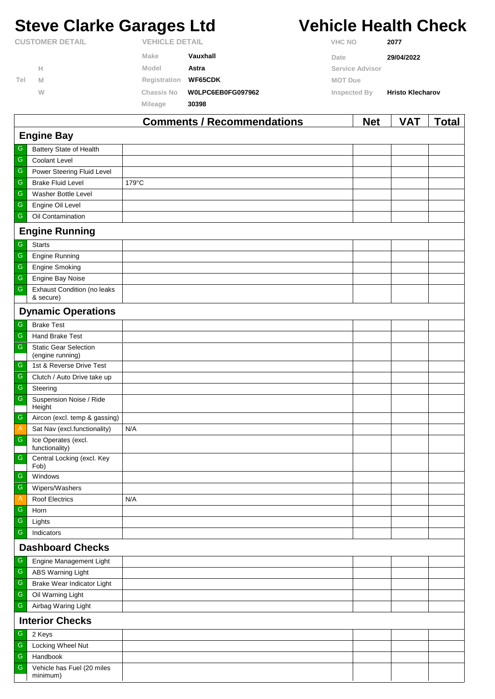# **Steve Clarke Garages Ltd Vehicle Health Check**

|                        |   |                       |                   | $\mathbf{A}$    | $\cdots$<br>- - -       |
|------------------------|---|-----------------------|-------------------|-----------------|-------------------------|
|                        |   | Mileage               | 30398             |                 |                         |
|                        | W | <b>Chassis No</b>     | W0LPC6EB0FG097962 | Inspected By    | <b>Hristo Klecharov</b> |
| Tel                    | M | Registration          | <b>WF65CDK</b>    | <b>MOT Due</b>  |                         |
|                        | н | Model                 | Astra             | Service Advisor |                         |
|                        |   | Make                  | Vauxhall          | Date            | 29/04/2022              |
| <b>CUSTOMER DETAIL</b> |   | <b>VEHICLE DETAIL</b> |                   | <b>VHC NO</b>   | 2077                    |

|                         |                                                  | <b>Comments / Recommendations</b> | <b>Net</b> | VAT | <b>Total</b> |  |  |  |
|-------------------------|--------------------------------------------------|-----------------------------------|------------|-----|--------------|--|--|--|
|                         | <b>Engine Bay</b>                                |                                   |            |     |              |  |  |  |
| G                       | Battery State of Health                          |                                   |            |     |              |  |  |  |
| ${\mathsf G}$           | <b>Coolant Level</b>                             |                                   |            |     |              |  |  |  |
| ${\mathsf G}$           | Power Steering Fluid Level                       |                                   |            |     |              |  |  |  |
| G                       | <b>Brake Fluid Level</b>                         | 179°C                             |            |     |              |  |  |  |
| ${\mathsf G}$           | Washer Bottle Level                              |                                   |            |     |              |  |  |  |
| ${\mathsf G}$           | Engine Oil Level                                 |                                   |            |     |              |  |  |  |
| ${\mathsf G}$           | Oil Contamination                                |                                   |            |     |              |  |  |  |
|                         | <b>Engine Running</b>                            |                                   |            |     |              |  |  |  |
| G                       | <b>Starts</b>                                    |                                   |            |     |              |  |  |  |
| ${\mathsf G}$           | Engine Running                                   |                                   |            |     |              |  |  |  |
| ${\mathsf G}$           | <b>Engine Smoking</b>                            |                                   |            |     |              |  |  |  |
| $\overline{\mathbb{G}}$ | Engine Bay Noise                                 |                                   |            |     |              |  |  |  |
| ${\mathsf G}$           | <b>Exhaust Condition (no leaks</b><br>& secure)  |                                   |            |     |              |  |  |  |
|                         | <b>Dynamic Operations</b>                        |                                   |            |     |              |  |  |  |
| G                       | <b>Brake Test</b>                                |                                   |            |     |              |  |  |  |
| ${\mathsf G}$           | Hand Brake Test                                  |                                   |            |     |              |  |  |  |
| ${\mathsf G}$           | <b>Static Gear Selection</b><br>(engine running) |                                   |            |     |              |  |  |  |
| G                       | 1st & Reverse Drive Test                         |                                   |            |     |              |  |  |  |
| ${\mathsf G}$           | Clutch / Auto Drive take up                      |                                   |            |     |              |  |  |  |
| $\overline{\mathbb{G}}$ | Steering                                         |                                   |            |     |              |  |  |  |
| ${\mathsf G}$           | Suspension Noise / Ride<br>Height                |                                   |            |     |              |  |  |  |
| ${\mathsf G}$           | Aircon (excl. temp & gassing)                    |                                   |            |     |              |  |  |  |
| $\overline{A}$          | Sat Nav (excl.functionality)                     | N/A                               |            |     |              |  |  |  |
| ${\mathsf G}$           | Ice Operates (excl.<br>functionality)            |                                   |            |     |              |  |  |  |
| ${\mathsf G}$           | Central Locking (excl. Key<br>Fob)               |                                   |            |     |              |  |  |  |
| G                       | Windows                                          |                                   |            |     |              |  |  |  |
| $\overline{G}$          | Wipers/Washers                                   |                                   |            |     |              |  |  |  |
| $\mathsf{A}$            | <b>Roof Electrics</b>                            | N/A                               |            |     |              |  |  |  |
| ${\mathsf G}$           | Horn                                             |                                   |            |     |              |  |  |  |
| ${\mathsf G}$           | Lights                                           |                                   |            |     |              |  |  |  |
| $\overline{\mathbb{G}}$ | Indicators                                       |                                   |            |     |              |  |  |  |
|                         | <b>Dashboard Checks</b>                          |                                   |            |     |              |  |  |  |
| G                       | Engine Management Light                          |                                   |            |     |              |  |  |  |
| ${\mathsf G}$           | <b>ABS Warning Light</b>                         |                                   |            |     |              |  |  |  |
| ${\mathsf G}$           | Brake Wear Indicator Light                       |                                   |            |     |              |  |  |  |
| ${\mathsf G}$           | Oil Warning Light                                |                                   |            |     |              |  |  |  |
| ${\mathsf G}$           | Airbag Waring Light                              |                                   |            |     |              |  |  |  |
|                         | <b>Interior Checks</b>                           |                                   |            |     |              |  |  |  |
| ${\mathsf G}$           | 2 Keys                                           |                                   |            |     |              |  |  |  |
| ${\mathsf G}$           | Locking Wheel Nut                                |                                   |            |     |              |  |  |  |
| ${\mathsf G}$           | Handbook                                         |                                   |            |     |              |  |  |  |
| ${\mathsf G}$           | Vehicle has Fuel (20 miles<br>minimum)           |                                   |            |     |              |  |  |  |